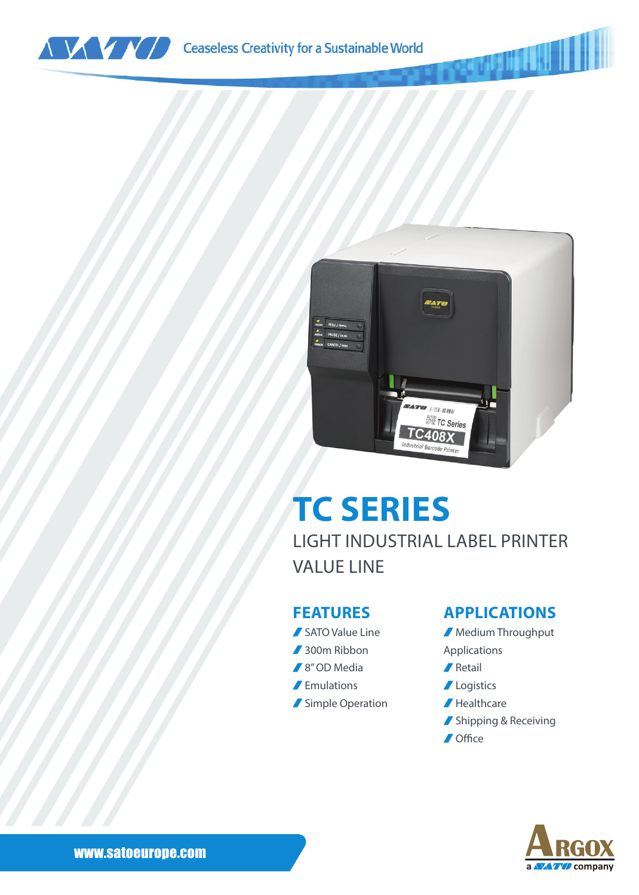



# **TC SERIES**

LIGHT INDUSTRIAL LABEL PRINTER VALUE LINE

#### **FEATURES**

SATO Value Line ■ 300m Ribbon ■ 8" OD Media **F** Emulations Simple Operation

### **APPLICATIONS**

**Medium Throughput** Applications **∕** Retail

- **Logistics**
- Healthcare
- Shipping & Receiving
- **/** Office